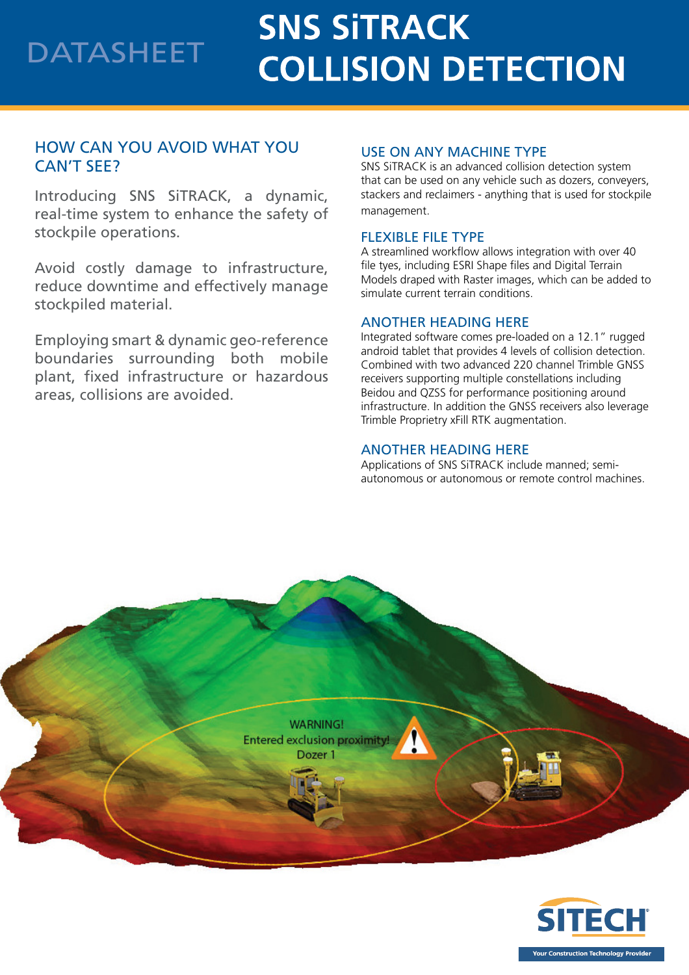## **SNS SITRACK** DATASHEET **COLLISION DETECTION**

### HOW CAN YOU AVOID WHAT YOU CAN'T SEE?

Introducing SNS SiTRACK, a dynamic, real-time system to enhance the safety of stockpile operations.

Avoid costly damage to infrastructure, reduce downtime and effectively manage stockpiled material.

Employing smart & dynamic geo-reference boundaries surrounding both mobile plant, fixed infrastructure or hazardous areas, collisions are avoided.

#### USE ON ANY MACHINE TYPE

SNS SiTRACK is an advanced collision detection system that can be used on any vehicle such as dozers, conveyers, stackers and reclaimers - anything that is used for stockpile management.

#### FLEXIBLE FILE TYPE

A streamlined workflow allows integration with over 40 file tyes, including ESRI Shape files and Digital Terrain Models draped with Raster images, which can be added to simulate current terrain conditions.

#### ANOTHER HEADING HERE

Integrated software comes pre-loaded on a 12.1" rugged android tablet that provides 4 levels of collision detection. Combined with two advanced 220 channel Trimble GNSS receivers supporting multiple constellations including Beidou and QZSS for performance positioning around infrastructure. In addition the GNSS receivers also leverage Trimble Proprietry xFill RTK augmentation.

#### ANOTHER HEADING HERE

Applications of SNS SiTRACK include manned; semiautonomous or autonomous or remote control machines.